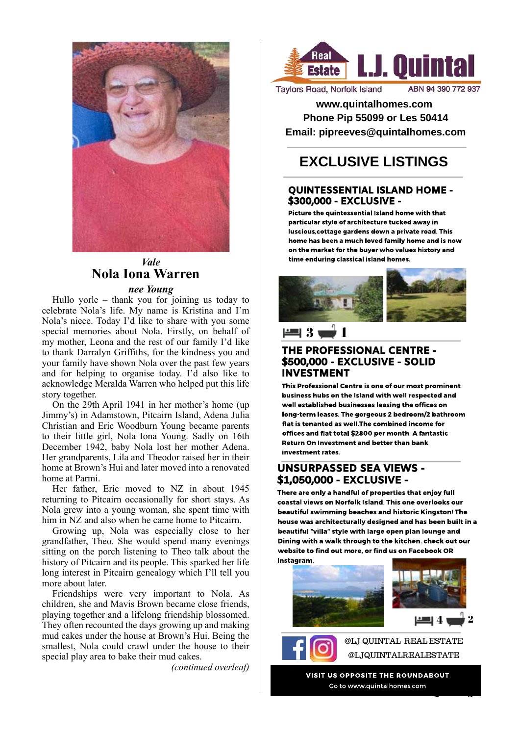

# *Vale* **Nola Iona Warren**

#### *nee Young*

Hullo yorle – thank you for joining us today to celebrate Nola's life. My name is Kristina and I'm Nola's niece. Today I'd like to share with you some special memories about Nola. Firstly, on behalf of my mother, Leona and the rest of our family I'd like to thank Darralyn Griffiths, for the kindness you and your family have shown Nola over the past few years and for helping to organise today. I'd also like to acknowledge Meralda Warren who helped put this life story together.

On the 29th April 1941 in her mother's home (up Jimmy's) in Adamstown, Pitcairn Island, Adena Julia Christian and Eric Woodburn Young became parents to their little girl, Nola Iona Young. Sadly on 16th December 1942, baby Nola lost her mother Adena. Her grandparents, Lila and Theodor raised her in their home at Brown's Hui and later moved into a renovated home at Parmi.

Her father, Eric moved to NZ in about 1945 returning to Pitcairn occasionally for short stays. As Nola grew into a young woman, she spent time with him in NZ and also when he came home to Pitcairn.

Growing up, Nola was especially close to her grandfather, Theo. She would spend many evenings sitting on the porch listening to Theo talk about the history of Pitcairn and its people. This sparked her life long interest in Pitcairn genealogy which I'll tell you more about later.

Friendships were very important to Nola. As children, she and Mavis Brown became close friends, playing together and a lifelong friendship blossomed. They often recounted the days growing up and making mud cakes under the house at Brown's Hui. Being the smallest, Nola could crawl under the house to their special play area to bake their mud cakes.

*(continued overleaf)*



**Taylors Road, Norfolk Island** 

**www.quintalhomes.com Phone Pip 55099 or Les 50414 Email: pipreeves@quintalhomes.com**

# **EXCLUSIVE LISTINGS**

#### QUINTESSENTIAL ISLAND HOME - \$300,000 - EXCLUSIVE -

Picture the quintessential Island home with that particular style of architecture tucked away in luscious,cottage gardens down a private road. This home has been a much loved family home and is now on the market for the buyer who values history and time enduring classical island homes.

# 3 1

### THE PROFESSIONAL CENTRE - \$500,000 - EXCLUSIVE - SOLID INVESTMENT

This Professional Centre is one of our most prominent business hubs on the Island with well respected and well established businesses leasing the offices on long-term leases. The gorgeous 2 bedroom/2 bathroom flat is tenanted as well.The combined income for offices and flat total \$2800 per month. A fantastic Return On Investment and better than bank investment rates.

### UNSURPASSED SEA VIEWS - \$1,050,000 - EXCLUSIVE -

There are only a handful of properties that enjoy full coastal views on Norfolk Island. This one overlooks our beautiful swimming beaches and historic Kingston! The house was architecturally designed and has been built in a beautiful "villa" style with large open plan lounge and Dining with a walk through to the kitchen. check out our website to find out more, or find us on Facebook OR Instagram.



@LJ QUINTAL REAL ESTATE @LJQUINTALREALESTATE

5 3

VISIT US OPPOSITE THE ROUNDABOUT Go to www.quintalhomes.com